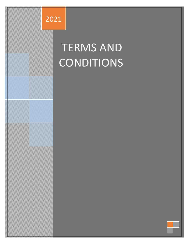

# TERMS AND CONDITIONS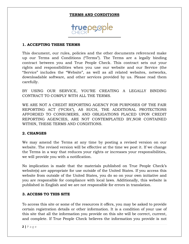#### **TERMS AND CONDITIONS**

## **truepe**ople

#### **1. ACCEPTING THESE TERMS**

This document, our rules, policies and the other documents referenced make up our Terms and Conditions ("Terms"). The Terms are a legally binding contract between you and True People Check. This contract sets out your rights and responsibilities when you use our website and our Service (the "Service" includes the "Website", as well as all related websites, networks, downloadable software, and other services provided by us. Please read them carefully.

BY USING OUR SERVICE, YOU'RE CREATING A LEGALLY BINDING CONTRACT TO COMPLY WITH ALL THE TERMS.

WE ARE NOT A CREDIT REPORTING AGENCY FOR PURPOSES OF THE FAIR REPORTING ACT ("FCRA"), AS SUCH, THE ADDITIONAL PROTECTIONS AFFORDED TO CONSUMERS, AND OBLIGATIONS PLACED UPON CREDIT REPORTING AGENCIES, ARE NOT CONTEMPLATED BY,NOR CONTAINED WITHIN, THESE TERMS AND CONDITIONS.

#### **2. CHANGES**

We may amend the Terms at any time by posting a revised version on our website. The revised version will be effective at the time we post it. If we change the Terms in a way that reduces your rights or increases your responsibilities, we will provide you with a notification.

No implication is made that the materials published on True People Check's website(s) are appropriate for use outside of the United States. If you access this website from outside of the United States, you do so on your own initiative and you are responsible for compliance with local laws. Additionally, this website is published in English and we are not responsible for errors in translation.

#### **3. ACCESS TO THIS SITE**

To access this site or some of the resources it offers, you may be asked to provide certain registration details or other information. It is a condition of your use of this site that all the information you provide on this site will be correct, current, and complete. If True People Check believes the information you provide is not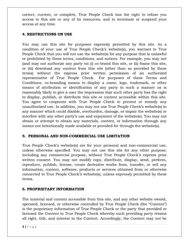correct, current, or complete, True People Check has the right to refuse you access to this site or any of its resources, and to terminate or suspend your access at any time.

#### **4. RESTRICTIONS ON USE**

You may use this site for purposes expressly permitted by this site. As a condition of your use of True People Check's website(s), you warrant to True People Check that you will not use the website(s) for any purpose that is unlawful or prohibited by these terms, conditions, and notices. For example, you may not (and may not authorize any party to) (i) co-brand this site, or (ii) frame this site, or (iii) download any content from this site (other than as provided by these terms) without the express prior written permission of an authorized representative of True People Check. For purposes of these Terms and Conditions, co-branding means to display a name, logo, trademark, or other means of attribution or identification of any party in such a manner as is reasonably likely to give a user the impression that such other party has the right to display, publish, or distribute this site or content accessible within this site. You agree to cooperate with True People Check to prevent or remedy any unauthorized use. In addition, you may not use True People Check's website(s) in any manner which could disable, overburden, damage, or impair the website(s) or interfere with any other party's use and enjoyment of the website(s). You may not obtain or attempt to obtain any materials, content, or information through any means not intentionally made available or provided for through the website(s).

## **5. PERSONAL AND NON-COMMERCIAL USE LIMITATION**

True People Check's website(s) are for your personal and non-commercial use, unless otherwise specified. You may not use this site for any other purpose, including any commercial purpose, without True People Check's express prior written consent. You may not modify copy, distribute, display, send, perform, reproduce, publish, license, create derivative works from, transfer, or sell any information, content, software, products or services obtained from or otherwise connected to True People Check's website(s), unless expressly permitted by these terms.

## **6. PROPRIETARY INFORMATION**

The material and content accessible from this site, and any other website owned, operated, licensed, or otherwise controlled by True People Check (the "Content") is the proprietary information of True People Check or the party that provided or licensed the Content to True People Check whereby such providing party retains all right, title, and interest in the Content. Accordingly, the Content may not be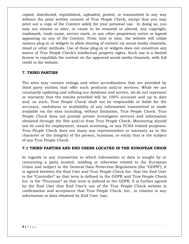copied, distributed, republished, uploaded, posted, or transmitted in any way without the prior written consent of True People Check, except that you may print out a copy of the Content solely for your personal use. In doing so, you may not remove or alter, or cause to be removed or altered, any copyright, trademark, trade name, service mark, or any other proprietary notice or legend appearing on any of the Content. From time to time, the website will utilize various plug-in or widgets to allow sharing of content via social media channels, email or other methods. Use of these plug-in or widgets does not constitute any waiver of True People Check's intellectual property rights. Such use is a limited license to republish the content on the approved social media channels, with full credit to the website.

## **7. THIRD PARTIES**

The sites may contain ratings and other accreditations that are provided by third party entities that offer such products and/or services. While we are constantly updating and refining our database and service, we do not represent or warranty that the results provided will be 100% accurate and up to date and, as such, True People Check shall not be responsible or liable for the accuracy, usefulness or availability of any information transmitted or made available via the sites including, without limitation, True People Check. True People Check does not provide private investigator services and information obtained through the Site and/or from True People Check. Monitoring should not be used for employment, tenant screening, or any FCRA related purposes. True People Check does not many any representation or warranty as to the character or the integrity of the person, business, or entity that is the subject of any True People Check.

## **7.1 THIRD PARTIES AND END USERS LOCATED IN THE EUROPEAN UNION**

In regards to any transaction in which information or data is sought by or concerning a party located, residing or otherwise related to the European Union and subject to the General Data Protection Regulations (the "GDPR"), it is agreed between the End User and True People Check Inc. that the End User is the "Controller" as that term is defined in the GDPR and True People Check Inc. is the "Processor" as that term is defined in the GDPR. It is further agreed by the End User that End User's use of the True People Check website is confirmation and acceptance that True People Check, Inc., in relation to any information or data obtained by End User, has: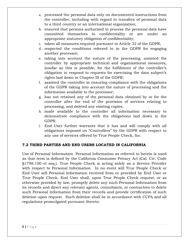- a. processed the personal data only on documented instructions from the controller, including with regard to transfers of personal data to a third country or an international organization;
- b. ensured that persons authorized to process the personal data have committed themselves to confidentiality or are under an appropriate statutory obligation of confidentiality;
- c. taken all measures required pursuant to Article 32 of the GDPR;
- d. respected the conditions referred to in the GDPR for engaging another processor;
- e. taking into account the nature of the processing, assisted the controller by appropriate technical and organizational measures, insofar as this is possible, for the fulfillment of the controller's obligation to respond to requests for exercising the data subject's rights laid down in Chapter III of the GDPR;
- f. assisted the controller in ensuring compliance with the obligations of the GDPR taking into account the nature of processing and the information available to the processor;
- g. has not retained any of the personal data obtained by or for the controller after the end of the provision of services relating to processing, and deleted any existing copies;
- h. made available to the controller all information necessary to demonstrate compliance with the obligations laid down in the GDPR.
- i. End User further warrants that it has and will comply with all obligations imposed on "Controllers" by the GDPR with respect to any use of services offered by True People Check, Inc.

## **7.2 THIRD PARTIES AND END USERS LOCATED IN CALIFORNIA**

Use of Personal Information. Personal Information as referred to herein is used as that term is defined by the California Consumer Privacy Act (Cal. Civ. Code §1798.100 et seq.). True People Check is acting solely as a Service Provider with respect to Personal Information. In no event will True People Check or End User sell Personal Information received from or provided by End User or True People Check. End User shall, upon True People Check request, or as otherwise provided by law, promptly delete any such Personal Information from its records and direct any relevant agents, consultants, or contractors to delete such Personal Information from their records and provide certification of such deletion upon request. Such deletion shall be in accordance with CCPA and all regulations promulgated pursuant thereto: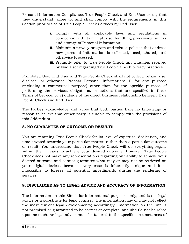Personal Information Compliance. True People Check and End User certify that they understand, agree to, and shall comply with the requirements in this Section prior to use of True People Check Services by End User.

- i. Comply with all applicable laws and regulations in connection with its receipt, use, handling, processing, access and storage of Personal Information;
- ii. Maintain a privacy program and related policies that address how personal Information is collected, used, shared, and otherwise Processed.
- iii. Promptly refer to True People Check any inquiries received by End User regarding True People Check privacy practices.

Prohibited Use. End User and True People Check shall not collect, retain, use, disclose, or otherwise Process Personal Information: 1) for any purpose (including a commercial purpose) other than for the specific purpose of performing the services, obligations, or actions that are specified in these Terms of Service; or 2) outside of the direct business relationship between True People Check and End User.

The Parties acknowledge and agree that both parties have no knowledge or reason to believe that either party is unable to comply with the provisions of this Addendum.

## **8. NO GUARANTEE OF OUTCOME OR RESULTS**

You are retaining True People Check for its level of expertise, dedication, and time devoted towards your particular matter, rather than a particular outcome or result. You understand that True People Check will do everything legally within their means to achieve your desired outcome. However, True People Check does not make any representations regarding our ability to achieve your desired outcome and cannot guarantee what may or may not be retrieved on your digital devices because every case is inherently unique and it is impossible to foresee all potential impediments during the rendering of services.

## **9. DISCLAIMER AS TO LEGAL ADVICE AND ACCURACY OF INFORMATION**

The information on this Site is for informational purposes only, and is not legal advice or a substitute for legal counsel. The information may or may not reflect the most current legal developments; accordingly, information on the Site is not promised or guaranteed to be correct or complete, and should not be relied upon as such. As legal advice must be tailored to the specific circumstances of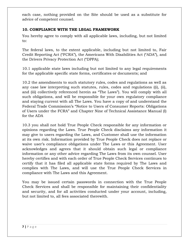each case, nothing provided on the Site should be used as a substitute for advice of competent counsel.

## **10. COMPLIANCE WITH THE LEGAL FRAMEWORK**

You hereby agree to comply with all applicable laws, including, but not limited to:

The federal laws, to the extent applicable, including but not limited to, Fair Credit Reporting Act ("FCRA"), the Americans With Disabilities Act ("ADA"), and the Drivers Privacy Protection Act ("DPPA);

10.1 applicable state laws including but not limited to any legal requirements for the applicable specific state forms, certificates or documents; and

10.2 the amendments to such statutory rules, codes and regulations as well as any case law interpreting such statutes, rules, codes and regulations ((i), (ii), and (iii) collectively referenced herein as "The Laws"). You will comply with all such obligations, and will be responsible for your own regulatory compliance and staying current with all The Laws. You have a copy of and understand the Federal Trade Commission's "Notice to Users of Consumer Reports: Obligations of Users under the FCRA" and Chapter Nine of Technical Assistance Manual (I) for the ADA

10.3 you shall not hold True People Check responsible for any information or opinions regarding the Laws. True People Check disclaims any information it may give to users regarding the Laws, and Customer shall use the information at its own risk. Information provided by True People Check does not replace or waive user's compliance obligations under The Laws or this Agreement. User acknowledges and agrees that it should obtain such legal or compliance information or any other advice regarding The Laws from its own counsel. User hereby certifies and with each order of True People Check Services continues to certify that it has filed all applicable state forms required by The Laws and complies with The Laws, and will use the True People Check Services in compliance with The Laws and this Agreement.

You may be issued certain passwords in connection with the True People Check Services and shall be responsible for maintaining their confidentiality and security, and for all activities conducted under your account, including, but not limited to, all fees associated therewith.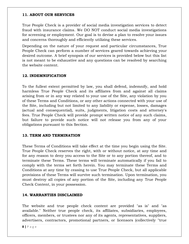#### **11. ABOUT OUR SERVICES**

True People Check is a provider of social media investigation services to detect fraud with insurance claims. We DO NOT conduct social media investigations for screening or employment. Our goal is to devise a plan to resolve your issues and concerns thoroughly and efficiently utilizing these services.

Depending on the nature of your request and particular circumstances, True People Check can perform a number of services geared towards achieving your desired outcome. A brief synopsis of our services is provided below but this list is not meant to be exhaustive and any questions can be resolved by searching the website content.

#### **12. INDEMNIFICATION**

To the fullest extent permitted by law, you shall defend, indemnify, and hold harmless True People Check and its affiliates from and against all claims arising from or in any way related to your use of the Site, any violation by you of these Terms and Conditions, or any other actions connected with your use of the Site, including but not limited to any liability or expense, losses, damages (actual and consequential), suits, judgments, litigation costs and attorney's fees. True People Check will provide prompt written notice of any such claims, but failure to provide such notice will not release you from any of your obligations pursuant to this Section.

#### **13. TERM AND TERMINATION**

These Terms of Conditions will take effect at the time you begin using the Site. True People Check reserves the right, with or without notice, at any time and for any reason to deny you access to the Site or to any portion thereof, and to terminate these Terms. These terms will terminate automatically if you fail to comply with the terms set forth herein. You may terminate these Terms and Conditions at any time by ceasing to use True People Check, but all applicable provisions of these Terms will survive such termination. Upon termination, you must destroy all copies of any portion of the Site, including any True People Check Content, in your possession.

#### **14. WARRANTIES DISCLAIMED**

The website and true people check content are provided "as is" and "as available." Neither true people check, its affiliates, subsidiaries, employees, officers, members, or trustees nor any of its agents, representatives, suppliers, advertisers, contractors, promotional partners, or licensors (collectively "true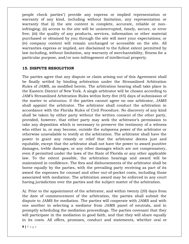people check parties") provide any express or implied representation or warranty of any kind, including without limitation, any representation or warranty that (i) the site content is complete, accurate, reliable or noninfringing; (ii) access to the site will be uninterrupted, timely, secure, or error free; (iii) the quality of any products, services, information or other material purchased or obtained by you through the site will meet your expectations; or (iv) company content will remain unchanged or accessible on the site. All warranties express or implied, are disclaimed to the fullest extent permitted by law including, without limitation, any warranty of merchantability, fitness for a particular purpose, and/or non-infringement of intellectual property.

#### **15. DISPUTE RESOLUTION**

The parties agree that any dispute or claim arising out of this Agreement shall be finally settled by binding arbitration under the Streamlined Arbitration Rules of JAMS, as modified herein. The arbitration hearing shall take place in the Eastern District of New York. A single arbitrator will be chosen according to JAM's Streamlined Arbitration Rules within forty-five (45) days of submission of the matter to arbitration. If the parties cannot agree on one arbitrator, JAMS shall appoint the arbitrator. The arbitrator shall conduct the arbitration in accordance with the Florida Rules of Civil Procedure. No discovery of any kind shall be taken by either party without the written consent of the other party, provided, however, that either party may seek the arbitrator's permission to take any deposition which is necessary to preserve the testimony of a witness who either is, or may become, outside the subpoena power of the arbitrator or otherwise unavailable to testify at the arbitration. The arbitrator shall have the power to grant any remedy or relief that the arbitrator deems just and equitable, except that the arbitrator shall not have the power to award punitive damages, treble damages, or any other damages which are not compensatory, even if permitted under the laws of the State of Florida or any other applicable law. To the extent possible, the arbitration hearings and award will be maintained in confidence. The fees and disbursements of the arbitrator shall be borne equally by the parties, with the prevailing party receiving as part of its award the expenses for counsel and other out-of-pocket costs, including those associated with mediation. The arbitration award may be enforced in any court having jurisdiction over the parties and the subject matter of the arbitration.

A). Prior to the appointment of the arbitrator, and within twenty (20) days from the date of commencement of the arbitration, the parties shall submit the dispute to JAMS for mediation. The parties will cooperate with JAMS and with one another in selecting a mediator from JAMS panel of neutrals, and in promptly scheduling the mediation proceedings. The parties covenant that they will participate in the mediation in good faith, and that they will share equally in its costs. All offers, promises, conduct and statements, whether oral or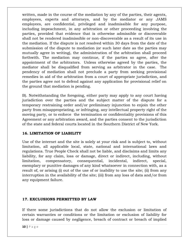written, made in the course of the mediation by any of the parties, their agents, employees, experts and attorneys, and by the mediator or any JAMS employees, are confidential, privileged and inadmissible for any purpose, including impeachment, in any arbitration or other proceeding involving the parties, provided that evidence that is otherwise admissible or discoverable shall not be rendered inadmissible or non-discoverable as a result of its use in the mediation. If the dispute is not resolved within 30 days from the date of the submission of the dispute to mediation (or such later date as the parties may mutually agree in writing), the administration of the arbitration shall proceed forthwith. The mediation may continue, if the parties so agree, after the appointment of the arbitrators. Unless otherwise agreed by the parties, the mediator shall be disqualified from serving as arbitrator in the case. The pendency of mediation shall not preclude a party from seeking provisional remedies in aid of the arbitration from a court of appropriate jurisdiction, and the parties agree not to defend against any application for provisional relief on the ground that mediation is pending.

B). Notwithstanding the foregoing, either party may apply to any court having jurisdiction over the parties and the subject matter of the dispute for a temporary restraining order and/or preliminary injunction to enjoin the other party from misappropriating, or infringing, any intellectual property right of the moving party, or to enforce the termination or confidentiality provisions of this Agreement or any arbitration award, and the parties consent to the jurisdiction of the state and federal courts located in the Southern District of New York.

## **16. LIMITATION OF LIABILITY**

Use of the internet and the site is solely at your risk and is subject to, without limitation, all applicable local, state, national and international laws and regulations. True People Check shall not be liable, and disclaims and limits any liability, for any claim, loss or damage, direct or indirect, including, without limitation, compensatory, consequential, incidental, indirect, special, exemplary or punitive damages of any kind whatsoever in connection with, as a result of, or arising (i) out of the use of or inability to use the site; (ii) from any interruption in the availability of the site; (iii) from any loss of data and/or from any equipment failure.

## **17. EXCLUSIONS PERMITTED BY LAW**

If there some jurisdictions that do not allow the exclusion or limitation of certain warranties or conditions or the limitation or exclusion of liability for loss or damage caused by negligence, breach of contract or breach of implied